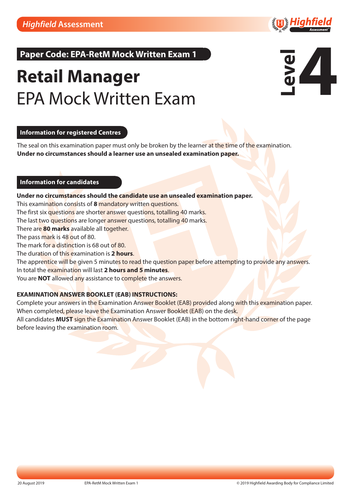

# **Paper Code: EPA-RetM Mock Written Exam 1**

# **Retail Manager**  EPA Mock Written Exam



# **Information for registered Centres**

The seal on this examination paper must only be broken by the learner at the time of the examination. **Under no circumstances should a learner use an unsealed examination paper.**

# **Information for candidates**

#### **Under no circumstances should the candidate use an unsealed examination paper.**

This examination consists of **8** mandatory written questions.

The first six questions are shorter answer questions, totalling 40 marks.

The last two questions are longer answer questions, totalling 40 marks.

There are **80 marks** available all together.

The pass mark is 48 out of 80.

The mark for a distinction is 68 out of 80.

The duration of this examination is **2 hours**.

The apprentice will be given 5 minutes to read the question paper before attempting to provide any answers. In total the examination will last **2 hours and 5 minutes**.

You are **NOT** allowed any assistance to complete the answers.

# **EXAMINATION ANSWER BOOKLET (EAB) INSTRUCTIONS:**

Complete your answers in the Examination Answer Booklet (EAB) provided along with this examination paper. When completed, please leave the Examination Answer Booklet (EAB) on the desk.

All candidates **MUST** sign the Examination Answer Booklet (EAB) in the bottom right-hand corner of the page before leaving the examination room.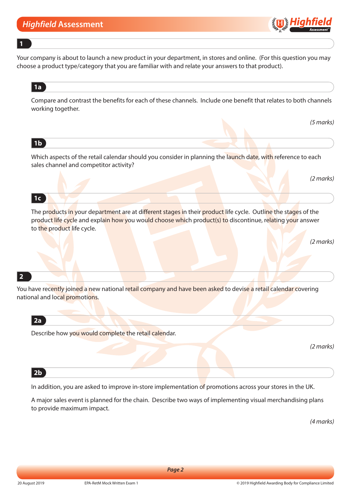

Your company is about to launch a new product in your department, in stores and online. (For this question you may choose a product type/category that you are familiar with and relate your answers to that product).

# **1a**

**1b**

Compare and contrast the benefits for each of these channels. Include one benefit that relates to both channels working together.

*(5 marks)*

*(2 marks)*

Which aspects of the retail calendar should you consider in planning the launch date, with reference to each sales channel and competitor activity?

#### **1c**

The products in your department are at different stages in their product life cycle. Outline the stages of the product life cycle and explain how you would choose which product(s) to discontinue, relating your answer to the product life cycle.

*(2 marks)*

#### **2**

You have recently joined a new national retail company and have been asked to devise a retail calendar covering national and local promotions.

| 2a                                                   |  |  |  |
|------------------------------------------------------|--|--|--|
| Describe how you would complete the retail calendar. |  |  |  |

*(2 marks)*

# **2b**

In addition, you are asked to improve in-store implementation of promotions across your stores in the UK.

A major sales event is planned for the chain. Describe two ways of implementing visual merchandising plans to provide maximum impact.

*(4 marks)*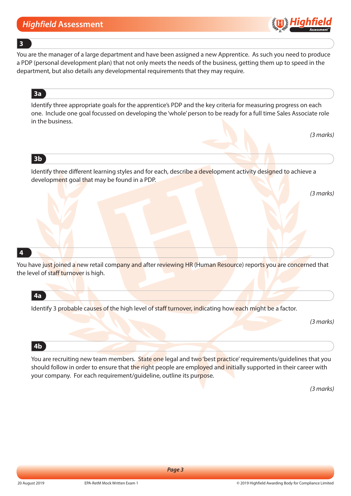

You are the manager of a large department and have been assigned a new Apprentice. As such you need to produce a PDP (personal development plan) that not only meets the needs of the business, getting them up to speed in the department, but also details any developmental requirements that they may require.

# **3a**

Identify three appropriate goals for the apprentice's PDP and the key criteria for measuring progress on each one. Include one goal focussed on developing the 'whole' person to be ready for a full time Sales Associate role in the business.

*(3 marks)* 

# **3b**

Identify three different learning styles and for each, describe a development activity designed to achieve a development goal that may be found in a PDP.

*(3 marks)*

# **4**

You have just joined a new retail company and after reviewing HR (Human Resource) reports you are concerned that the level of staff turnover is high.

#### **4a**

Identify 3 probable causes of the high level of staff turnover, indicating how each might be a factor.

*(3 marks)* 

#### **4b**

You are recruiting new team members. State one legal and two 'best practice' requirements/guidelines that you should follow in order to ensure that the right people are employed and initially supported in their career with your company. For each requirement/guideline, outline its purpose.

*(3 marks)*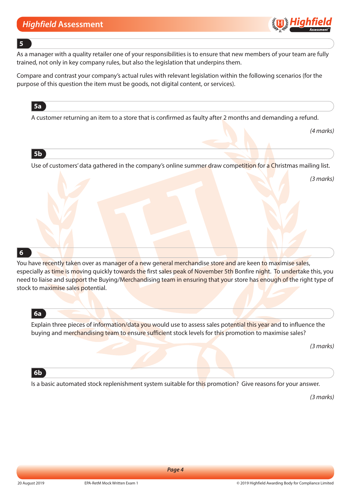

As a manager with a quality retailer one of your responsibilities is to ensure that new members of your team are fully trained, not only in key company rules, but also the legislation that underpins them.

Compare and contrast your company's actual rules with relevant legislation within the following scenarios (for the purpose of this question the item must be goods, not digital content, or services).

### **5a**

A customer returning an item to a store that is confirmed as faulty after 2 months and demanding a refund.

*(4 marks)*

**5b**

Use of customers' data gathered in the company's online summer draw competition for a Christmas mailing list.

*(3 marks)*

#### **6**

You have recently taken over as manager of a new general merchandise store and are keen to maximise sales, especially as time is moving quickly towards the first sales peak of November 5th Bonfire night. To undertake this, you need to liaise and support the Buying/Merchandising team in ensuring that your store has enough of the right type of stock to maximise sales potential.

#### **6a**

Explain three pieces of information/data you would use to assess sales potential this year and to influence the buying and merchandising team to ensure sufficient stock levels for this promotion to maximise sales?

*(3 marks)*

#### **6b**

Is a basic automated stock replenishment system suitable for this promotion? Give reasons for your answer.

*Page 4*

*(3 marks)*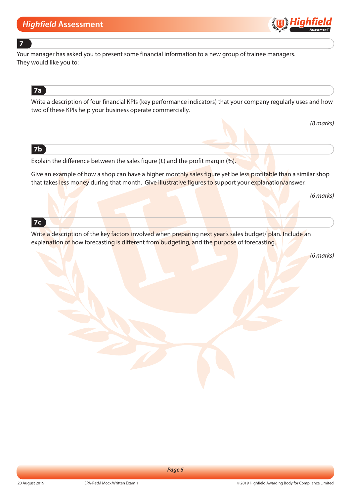

Your manager has asked you to present some financial information to a new group of trainee managers. They would like you to:

# **7a**

Write a description of four financial KPIs (key performance indicators) that your company regularly uses and how two of these KPIs help your business operate commercially.

*(8 marks)*

# **7b**

Explain the difference between the sales figure  $(E)$  and the profit margin  $(\%)$ .

Give an example of how a shop can have a higher monthly sales figure yet be less profitable than a similar shop that takes less money during that month. Give illustrative figures to support your explanation/answer.

*(6 marks)*

# **7c**

Write a description of the key factors involved when preparing next year's sales budget/ plan. Include an explanation of how forecasting is different from budgeting, and the purpose of forecasting.

*Page 5*

 *(6 marks)*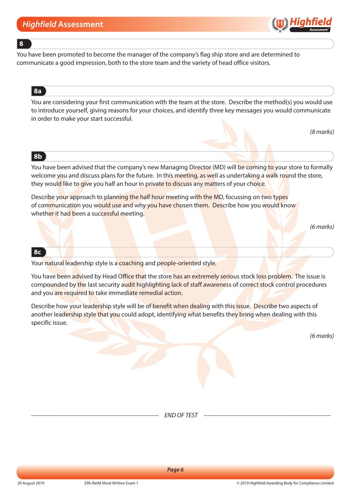

You have been promoted to become the manager of the company's flag ship store and are determined to communicate a good impression, both to the store team and the variety of head office visitors.

# **8a**

You are considering your first communication with the team at the store. Describe the method(s) you would use to introduce yourself, giving reasons for your choices, and identify three key messages you would communicate in order to make your start successful.

*(8 marks)*

# **8b**

You have been advised that the company's new Managing Director (MD) will be coming to your store to formally welcome you and discuss plans for the future. In this meeting, as well as undertaking a walk round the store, they would like to give you half an hour in private to discuss any matters of your choice.

Describe your approach to planning the half hour meeting with the MD, focussing on two types of communication you would use and why you have chosen them. Describe how you would know whether it had been a successful meeting.

*(6 marks)*

#### **8c**

Your natural leadership style is a coaching and people-oriented style.

You have been advised by Head Office that the store has an extremely serious stock loss problem. The issue is compounded by the last security audit highlighting lack of staff awareness of correct stock control procedures and you are required to take immediate remedial action.

Describe how your leadership style will be of benefit when dealing with this issue. Describe two aspects of another leadership style that you could adopt, identifying what benefits they bring when dealing with this specific issue.

 *(6 marks)*

 $END$  OF TEST --

*Page 6*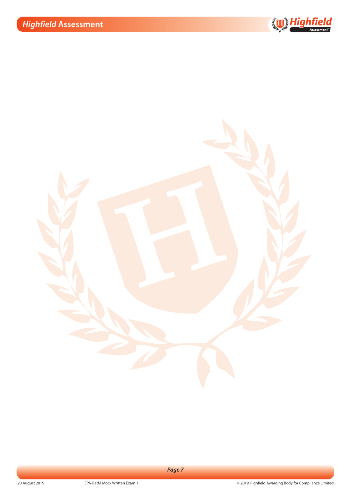



*Page 7*